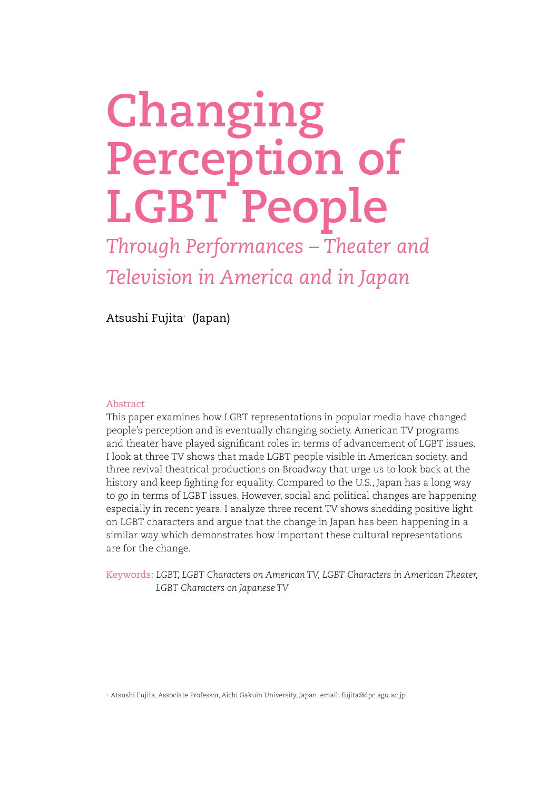# **Changing Perception of LGBT People**

*Through Performances – Theater and Television in America and in Japan*

Atsushi Fujita+ (Japan)

# Abstract

This paper examines how LGBT representations in popular media have changed people's perception and is eventually changing society. American TV programs and theater have played significant roles in terms of advancement of LGBT issues. I look at three TV shows that made LGBT people visible in American society, and three revival theatrical productions on Broadway that urge us to look back at the history and keep fighting for equality. Compared to the U.S., Japan has a long way to go in terms of LGBT issues. However, social and political changes are happening especially in recent years. I analyze three recent TV shows shedding positive light on LGBT characters and argue that the change in Japan has been happening in a similar way which demonstrates how important these cultural representations are for the change.

Keywords: *LGBT, LGBT Characters on American TV, LGBT Characters in American Theater, LGBT Characters on Japanese TV*

+ Atsushi Fujita, Associate Professor, Aichi Gakuin University, Japan. email: fujita@dpc.agu.ac.jp.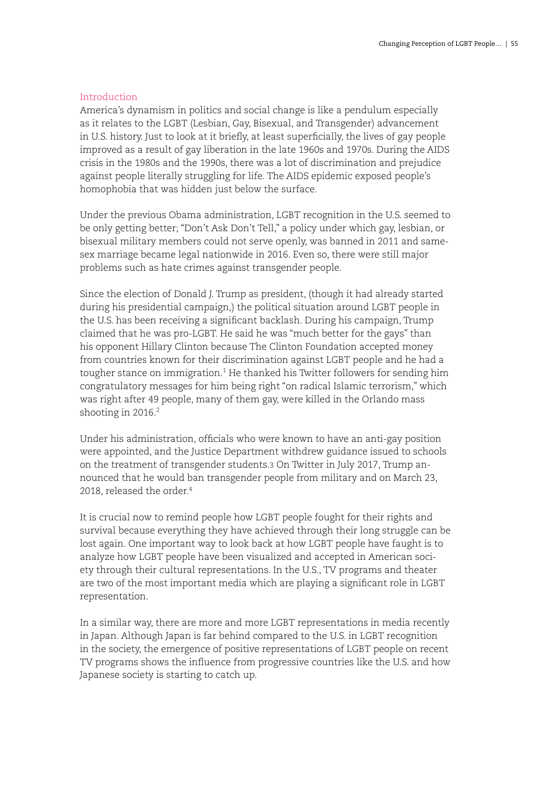# Introduction

America's dynamism in politics and social change is like a pendulum especially as it relates to the LGBT (Lesbian, Gay, Bisexual, and Transgender) advancement in U.S. history. Just to look at it briefly, at least superficially, the lives of gay people improved as a result of gay liberation in the late 1960s and 1970s. During the AIDS crisis in the 1980s and the 1990s, there was a lot of discrimination and prejudice against people literally struggling for life. The AIDS epidemic exposed people's homophobia that was hidden just below the surface.

Under the previous Obama administration, LGBT recognition in the U.S. seemed to be only getting better; "Don't Ask Don't Tell," a policy under which gay, lesbian, or bisexual military members could not serve openly, was banned in 2011 and samesex marriage became legal nationwide in 2016. Even so, there were still major problems such as hate crimes against transgender people.

Since the election of Donald J. Trump as president, (though it had already started during his presidential campaign,) the political situation around LGBT people in the U.S. has been receiving a significant backlash. During his campaign, Trump claimed that he was pro-LGBT. He said he was "much better for the gays" than his opponent Hillary Clinton because The Clinton Foundation accepted money from countries known for their discrimination against LGBT people and he had a tougher stance on immigration.<sup>1</sup> He thanked his Twitter followers for sending him congratulatory messages for him being right "on radical Islamic terrorism," which was right after 49 people, many of them gay, were killed in the Orlando mass shooting in 2016.<sup>2</sup>

Under his administration, officials who were known to have an anti-gay position were appointed, and the Justice Department withdrew guidance issued to schools on the treatment of transgender students.3 On Twitter in July 2017, Trump announced that he would ban transgender people from military and on March 23, 2018, released the order.<sup>4</sup>

It is crucial now to remind people how LGBT people fought for their rights and survival because everything they have achieved through their long struggle can be lost again. One important way to look back at how LGBT people have faught is to analyze how LGBT people have been visualized and accepted in American society through their cultural representations. In the U.S., TV programs and theater are two of the most important media which are playing a significant role in LGBT representation.

In a similar way, there are more and more LGBT representations in media recently in Japan. Although Japan is far behind compared to the U.S. in LGBT recognition in the society, the emergence of positive representations of LGBT people on recent TV programs shows the influence from progressive countries like the U.S. and how Japanese society is starting to catch up.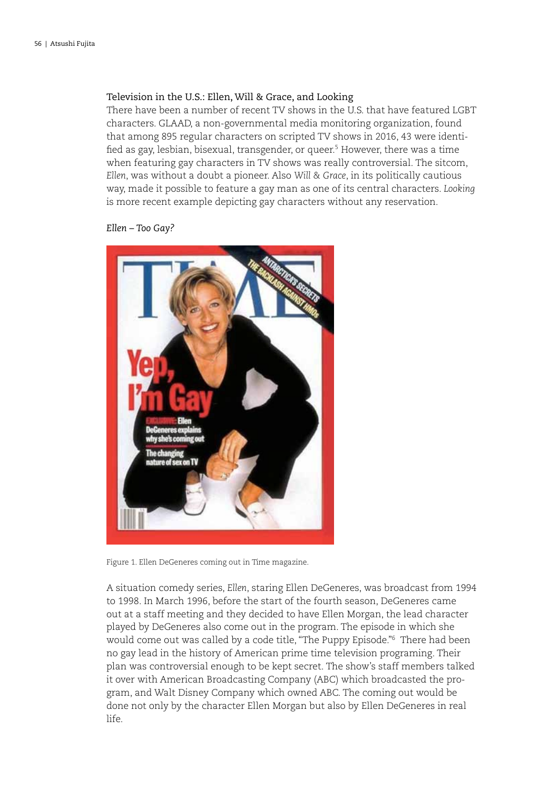# Television in the U.S.: Ellen, Will & Grace, and Looking

There have been a number of recent TV shows in the U.S. that have featured LGBT characters. GLAAD, a non-governmental media monitoring organization, found that among 895 regular characters on scripted TV shows in 2016, 43 were identified as gay, lesbian, bisexual, transgender, or queer.5 However, there was a time when featuring gay characters in TV shows was really controversial. The sitcom, *Ellen*, was without a doubt a pioneer. Also *Will & Grace*, in its politically cautious way, made it possible to feature a gay man as one of its central characters. *Looking* is more recent example depicting gay characters without any reservation.

*Ellen – Too Gay?*



Figure 1. Ellen DeGeneres coming out in Time magazine.

A situation comedy series, *Ellen*, staring Ellen DeGeneres, was broadcast from 1994 to 1998. In March 1996, before the start of the fourth season, DeGeneres came out at a staff meeting and they decided to have Ellen Morgan, the lead character played by DeGeneres also come out in the program. The episode in which she would come out was called by a code title, "The Puppy Episode."6 There had been no gay lead in the history of American prime time television programing. Their plan was controversial enough to be kept secret. The show's staff members talked it over with American Broadcasting Company (ABC) which broadcasted the program, and Walt Disney Company which owned ABC. The coming out would be done not only by the character Ellen Morgan but also by Ellen DeGeneres in real life.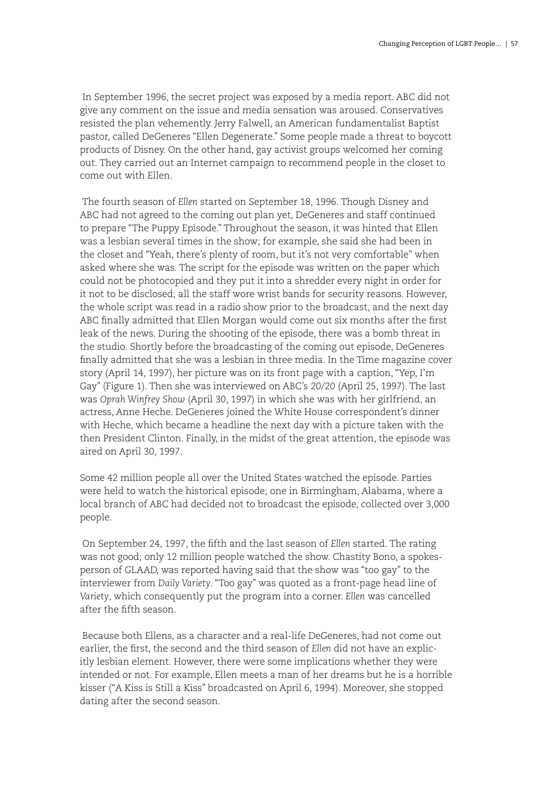In September 1996, the secret project was exposed by a media report. ABC did not give any comment on the issue and media sensation was aroused. Conservatives resisted the plan vehemently. Jerry Falwell, an American fundamentalist Baptist pastor, called DeGeneres "Ellen Degenerate." Some people made a threat to boycott products of Disney. On the other hand, gay activist groups welcomed her coming out. They carried out an Internet campaign to recommend people in the closet to come out with Ellen.

 The fourth season of *Ellen* started on September 18, 1996. Though Disney and ABC had not agreed to the coming out plan yet, DeGeneres and staff continued to prepare "The Puppy Episode." Throughout the season, it was hinted that Ellen was a lesbian several times in the show; for example, she said she had been in the closet and "Yeah, there's plenty of room, but it's not very comfortable" when asked where she was. The script for the episode was written on the paper which could not be photocopied and they put it into a shredder every night in order for it not to be disclosed; all the staff wore wrist bands for security reasons. However, the whole script was read in a radio show prior to the broadcast, and the next day ABC finally admitted that Ellen Morgan would come out six months after the first leak of the news. During the shooting of the episode, there was a bomb threat in the studio. Shortly before the broadcasting of the coming out episode, DeGeneres finally admitted that she was a lesbian in three media. In the Time magazine cover story (April 14, 1997), her picture was on its front page with a caption, "Yep, I'm Gay" (Figure 1). Then she was interviewed on ABC's *20/20* (April 25, 1997). The last was *Oprah Winfrey Show* (April 30, 1997) in which she was with her girlfriend, an actress, Anne Heche. DeGeneres joined the White House correspondent's dinner with Heche, which became a headline the next day with a picture taken with the then President Clinton. Finally, in the midst of the great attention, the episode was aired on April 30, 1997.

Some 42 million people all over the United States watched the episode. Parties were held to watch the historical episode; one in Birmingham, Alabama, where a local branch of ABC had decided not to broadcast the episode, collected over 3,000 people.

 On September 24, 1997, the fifth and the last season of *Ellen* started. The rating was not good; only 12 million people watched the show. Chastity Bono, a spokesperson of GLAAD, was reported having said that the show was "too gay" to the interviewer from *Daily Variety*. "Too gay" was quoted as a front-page head line of *Variety*, which consequently put the program into a corner. *Ellen* was cancelled after the fifth season.

 Because both Ellens, as a character and a real-life DeGeneres, had not come out earlier, the first, the second and the third season of *Ellen* did not have an explicitly lesbian element. However, there were some implications whether they were intended or not. For example, Ellen meets a man of her dreams but he is a horrible kisser ("A Kiss is Still a Kiss" broadcasted on April 6, 1994). Moreover, she stopped dating after the second season.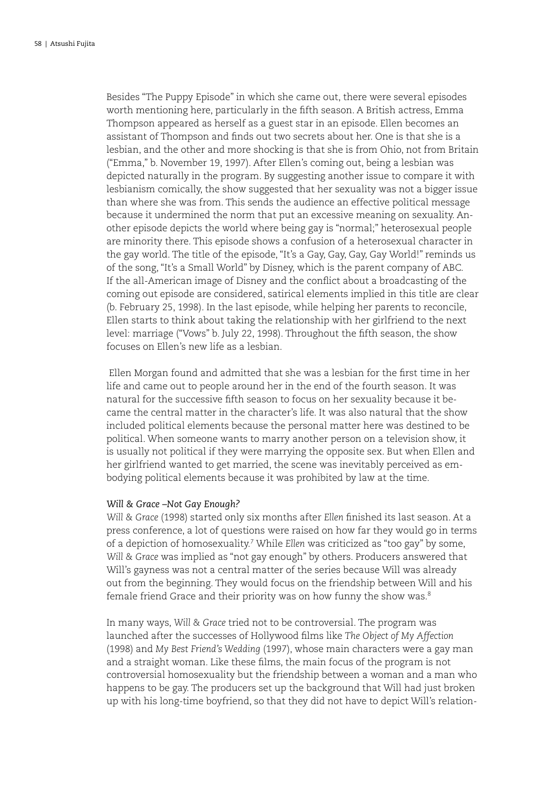Besides "The Puppy Episode" in which she came out, there were several episodes worth mentioning here, particularly in the fifth season. A British actress, Emma Thompson appeared as herself as a guest star in an episode. Ellen becomes an assistant of Thompson and finds out two secrets about her. One is that she is a lesbian, and the other and more shocking is that she is from Ohio, not from Britain ("Emma," b. November 19, 1997). After Ellen's coming out, being a lesbian was depicted naturally in the program. By suggesting another issue to compare it with lesbianism comically, the show suggested that her sexuality was not a bigger issue than where she was from. This sends the audience an effective political message because it undermined the norm that put an excessive meaning on sexuality. Another episode depicts the world where being gay is "normal;" heterosexual people are minority there. This episode shows a confusion of a heterosexual character in the gay world. The title of the episode, "It's a Gay, Gay, Gay, Gay World!" reminds us of the song, "It's a Small World" by Disney, which is the parent company of ABC. If the all-American image of Disney and the conflict about a broadcasting of the coming out episode are considered, satirical elements implied in this title are clear (b. February 25, 1998). In the last episode, while helping her parents to reconcile, Ellen starts to think about taking the relationship with her girlfriend to the next level: marriage ("Vows" b. July 22, 1998). Throughout the fifth season, the show focuses on Ellen's new life as a lesbian.

 Ellen Morgan found and admitted that she was a lesbian for the first time in her life and came out to people around her in the end of the fourth season. It was natural for the successive fifth season to focus on her sexuality because it became the central matter in the character's life. It was also natural that the show included political elements because the personal matter here was destined to be political. When someone wants to marry another person on a television show, it is usually not political if they were marrying the opposite sex. But when Ellen and her girlfriend wanted to get married, the scene was inevitably perceived as embodying political elements because it was prohibited by law at the time.

### *Will & Grace –Not Gay Enough?*

*Will & Grace* (1998) started only six months after *Ellen* finished its last season. At a press conference, a lot of questions were raised on how far they would go in terms of a depiction of homosexuality.7 While *Ellen* was criticized as "too gay" by some, *Will & Grace* was implied as "not gay enough" by others. Producers answered that Will's gayness was not a central matter of the series because Will was already out from the beginning. They would focus on the friendship between Will and his female friend Grace and their priority was on how funny the show was.<sup>8</sup>

In many ways, *Will & Grace* tried not to be controversial. The program was launched after the successes of Hollywood films like *The Object of My Affection*  (1998) and *My Best Friend's Wedding* (1997), whose main characters were a gay man and a straight woman. Like these films, the main focus of the program is not controversial homosexuality but the friendship between a woman and a man who happens to be gay. The producers set up the background that Will had just broken up with his long-time boyfriend, so that they did not have to depict Will's relation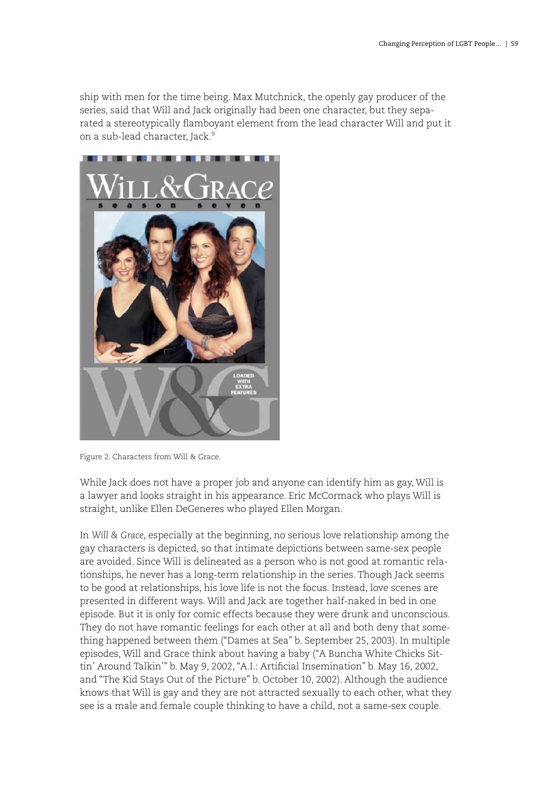ship with men for the time being. Max Mutchnick, the openly gay producer of the series, said that Will and Jack originally had been one character, but they separated a stereotypically flamboyant element from the lead character Will and put it on a sub-lead character, Jack.<sup>9</sup>



Figure 2. Characters from Will & Grace.

While Jack does not have a proper job and anyone can identify him as gay, Will is a lawyer and looks straight in his appearance. Eric McCormack who plays Will is straight, unlike Ellen DeGeneres who played Ellen Morgan.

In *Will & Grace*, especially at the beginning, no serious love relationship among the gay characters is depicted, so that intimate depictions between same-sex people are avoided. Since Will is delineated as a person who is not good at romantic relationships, he never has a long-term relationship in the series. Though Jack seems to be good at relationships, his love life is not the focus. Instead, love scenes are presented in different ways. Will and Jack are together half-naked in bed in one episode. But it is only for comic effects because they were drunk and unconscious. They do not have romantic feelings for each other at all and both deny that something happened between them ("Dames at Sea" b. September 25, 2003). In multiple episodes, Will and Grace think about having a baby ("A Buncha White Chicks Sittin' Around Talkin'" b. May 9, 2002, "A.I.: Artificial Insemination" b. May 16, 2002, and "The Kid Stays Out of the Picture" b. October 10, 2002). Although the audience knows that Will is gay and they are not attracted sexually to each other, what they see is a male and female couple thinking to have a child, not a same-sex couple.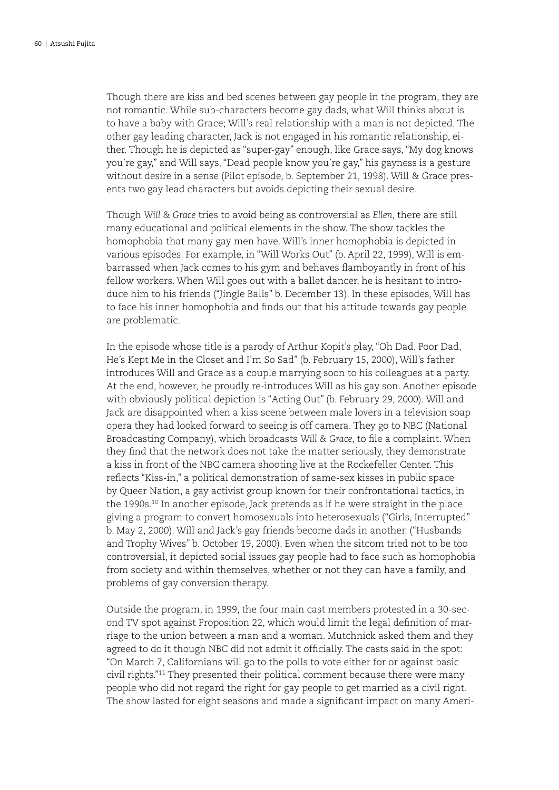Though there are kiss and bed scenes between gay people in the program, they are not romantic. While sub-characters become gay dads, what Will thinks about is to have a baby with Grace; Will's real relationship with a man is not depicted. The other gay leading character, Jack is not engaged in his romantic relationship, either. Though he is depicted as "super-gay" enough, like Grace says, "My dog knows you're gay," and Will says, "Dead people know you're gay," his gayness is a gesture without desire in a sense (Pilot episode, b. September 21, 1998). Will & Grace presents two gay lead characters but avoids depicting their sexual desire.

Though *Will & Grace* tries to avoid being as controversial as *Ellen*, there are still many educational and political elements in the show. The show tackles the homophobia that many gay men have. Will's inner homophobia is depicted in various episodes. For example, in "Will Works Out" (b. April 22, 1999), Will is embarrassed when Jack comes to his gym and behaves flamboyantly in front of his fellow workers. When Will goes out with a ballet dancer, he is hesitant to introduce him to his friends ("Jingle Balls" b. December 13). In these episodes, Will has to face his inner homophobia and finds out that his attitude towards gay people are problematic.

In the episode whose title is a parody of Arthur Kopit's play, "Oh Dad, Poor Dad, He's Kept Me in the Closet and I'm So Sad" (b. February 15, 2000), Will's father introduces Will and Grace as a couple marrying soon to his colleagues at a party. At the end, however, he proudly re-introduces Will as his gay son. Another episode with obviously political depiction is "Acting Out" (b. February 29, 2000). Will and Jack are disappointed when a kiss scene between male lovers in a television soap opera they had looked forward to seeing is off camera. They go to NBC (National Broadcasting Company), which broadcasts *Will & Grace*, to file a complaint. When they find that the network does not take the matter seriously, they demonstrate a kiss in front of the NBC camera shooting live at the Rockefeller Center. This reflects "Kiss-in," a political demonstration of same-sex kisses in public space by Queer Nation, a gay activist group known for their confrontational tactics, in the 1990s.<sup>10</sup> In another episode, Jack pretends as if he were straight in the place giving a program to convert homosexuals into heterosexuals ("Girls, Interrupted" b. May 2, 2000). Will and Jack's gay friends become dads in another. ("Husbands and Trophy Wives" b. October 19, 2000). Even when the sitcom tried not to be too controversial, it depicted social issues gay people had to face such as homophobia from society and within themselves, whether or not they can have a family, and problems of gay conversion therapy.

Outside the program, in 1999, the four main cast members protested in a 30-second TV spot against Proposition 22, which would limit the legal definition of marriage to the union between a man and a woman. Mutchnick asked them and they agreed to do it though NBC did not admit it officially. The casts said in the spot: "On March 7, Californians will go to the polls to vote either for or against basic civil rights."11 They presented their political comment because there were many people who did not regard the right for gay people to get married as a civil right. The show lasted for eight seasons and made a significant impact on many Ameri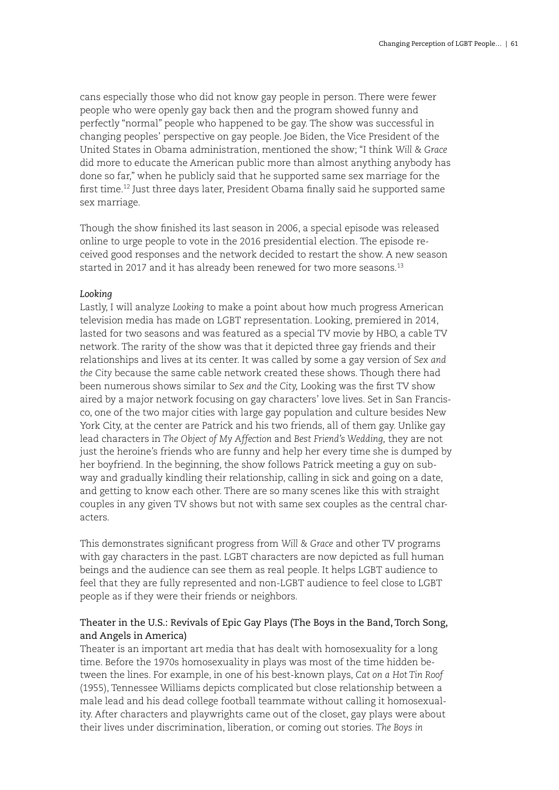cans especially those who did not know gay people in person. There were fewer people who were openly gay back then and the program showed funny and perfectly "normal" people who happened to be gay. The show was successful in changing peoples' perspective on gay people. Joe Biden, the Vice President of the United States in Obama administration, mentioned the show; "I think *Will & Grace*  did more to educate the American public more than almost anything anybody has done so far," when he publicly said that he supported same sex marriage for the first time.12 Just three days later, President Obama finally said he supported same sex marriage.

Though the show finished its last season in 2006, a special episode was released online to urge people to vote in the 2016 presidential election. The episode received good responses and the network decided to restart the show. A new season started in 2017 and it has already been renewed for two more seasons.<sup>13</sup>

## *Looking*

Lastly, I will analyze *Looking* to make a point about how much progress American television media has made on LGBT representation. Looking, premiered in 2014, lasted for two seasons and was featured as a special TV movie by HBO, a cable TV network. The rarity of the show was that it depicted three gay friends and their relationships and lives at its center. It was called by some a gay version of *Sex and the City* because the same cable network created these shows. Though there had been numerous shows similar to *Sex and the City,* Looking was the first TV show aired by a major network focusing on gay characters' love lives. Set in San Francisco, one of the two major cities with large gay population and culture besides New York City, at the center are Patrick and his two friends, all of them gay. Unlike gay lead characters in *The Object of My Affection* and *Best Friend's Wedding,* they are not just the heroine's friends who are funny and help her every time she is dumped by her boyfriend. In the beginning, the show follows Patrick meeting a guy on subway and gradually kindling their relationship, calling in sick and going on a date, and getting to know each other. There are so many scenes like this with straight couples in any given TV shows but not with same sex couples as the central characters.

This demonstrates significant progress from *Will & Grace* and other TV programs with gay characters in the past. LGBT characters are now depicted as full human beings and the audience can see them as real people. It helps LGBT audience to feel that they are fully represented and non-LGBT audience to feel close to LGBT people as if they were their friends or neighbors.

# Theater in the U.S.: Revivals of Epic Gay Plays (The Boys in the Band, Torch Song, and Angels in America)

Theater is an important art media that has dealt with homosexuality for a long time. Before the 1970s homosexuality in plays was most of the time hidden between the lines. For example, in one of his best-known plays, *Cat on a Hot Tin Roof*  (1955), Tennessee Williams depicts complicated but close relationship between a male lead and his dead college football teammate without calling it homosexuality. After characters and playwrights came out of the closet, gay plays were about their lives under discrimination, liberation, or coming out stories. *The Boys in*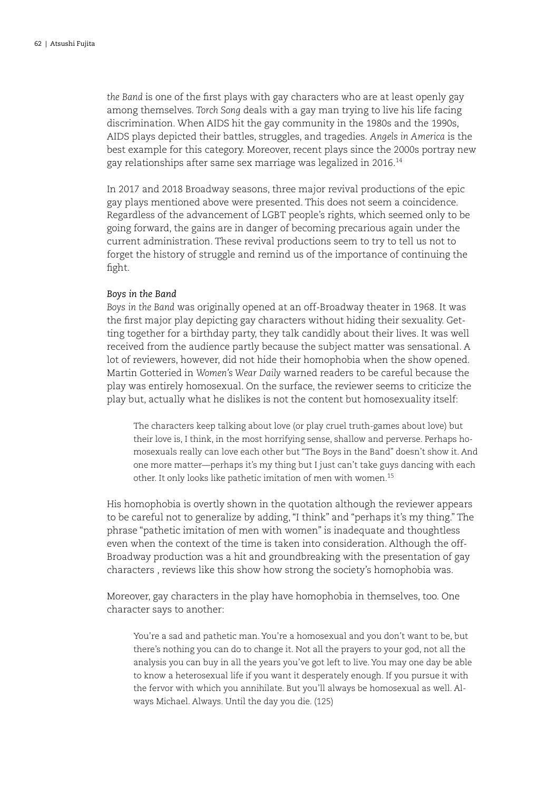*the Band* is one of the first plays with gay characters who are at least openly gay among themselves. *Torch Song* deals with a gay man trying to live his life facing discrimination. When AIDS hit the gay community in the 1980s and the 1990s, AIDS plays depicted their battles, struggles, and tragedies. *Angels in America* is the best example for this category. Moreover, recent plays since the 2000s portray new gay relationships after same sex marriage was legalized in 2016.14

In 2017 and 2018 Broadway seasons, three major revival productions of the epic gay plays mentioned above were presented. This does not seem a coincidence. Regardless of the advancement of LGBT people's rights, which seemed only to be going forward, the gains are in danger of becoming precarious again under the current administration. These revival productions seem to try to tell us not to forget the history of struggle and remind us of the importance of continuing the fight.

### *Boys in the Band*

*Boys in the Band* was originally opened at an off-Broadway theater in 1968. It was the first major play depicting gay characters without hiding their sexuality. Getting together for a birthday party, they talk candidly about their lives. It was well received from the audience partly because the subject matter was sensational. A lot of reviewers, however, did not hide their homophobia when the show opened. Martin Gotteried in *Women's Wear Daily* warned readers to be careful because the play was entirely homosexual. On the surface, the reviewer seems to criticize the play but, actually what he dislikes is not the content but homosexuality itself:

The characters keep talking about love (or play cruel truth-games about love) but their love is, I think, in the most horrifying sense, shallow and perverse. Perhaps homosexuals really can love each other but "The Boys in the Band" doesn't show it. And one more matter—perhaps it's my thing but I just can't take guys dancing with each other. It only looks like pathetic imitation of men with women.15

His homophobia is overtly shown in the quotation although the reviewer appears to be careful not to generalize by adding, "I think" and "perhaps it's my thing." The phrase "pathetic imitation of men with women" is inadequate and thoughtless even when the context of the time is taken into consideration. Although the off-Broadway production was a hit and groundbreaking with the presentation of gay characters , reviews like this show how strong the society's homophobia was.

Moreover, gay characters in the play have homophobia in themselves, too. One character says to another:

You're a sad and pathetic man. You're a homosexual and you don't want to be, but there's nothing you can do to change it. Not all the prayers to your god, not all the analysis you can buy in all the years you've got left to live. You may one day be able to know a heterosexual life if you want it desperately enough. If you pursue it with the fervor with which you annihilate. But you'll always be homosexual as well. Always Michael. Always. Until the day you die. (125)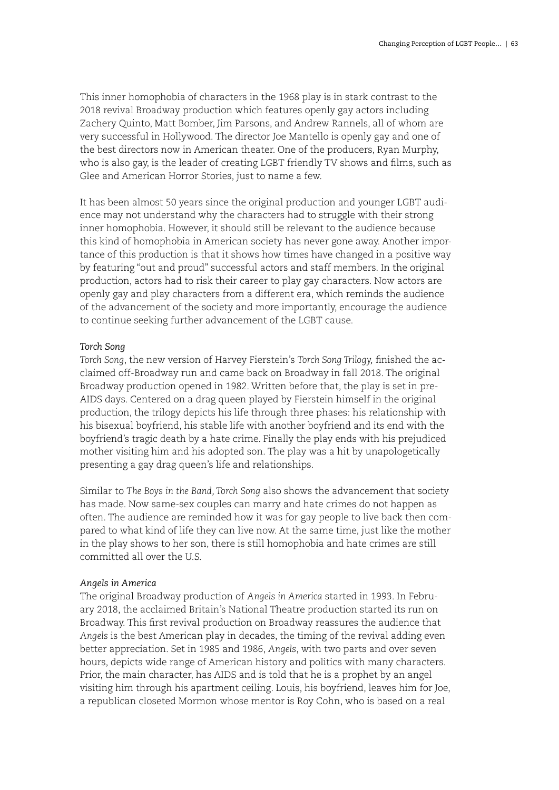This inner homophobia of characters in the 1968 play is in stark contrast to the 2018 revival Broadway production which features openly gay actors including Zachery Quinto, Matt Bomber, Jim Parsons, and Andrew Rannels, all of whom are very successful in Hollywood. The director Joe Mantello is openly gay and one of the best directors now in American theater. One of the producers, Ryan Murphy, who is also gay, is the leader of creating LGBT friendly TV shows and films, such as Glee and American Horror Stories, just to name a few.

It has been almost 50 years since the original production and younger LGBT audience may not understand why the characters had to struggle with their strong inner homophobia. However, it should still be relevant to the audience because this kind of homophobia in American society has never gone away. Another importance of this production is that it shows how times have changed in a positive way by featuring "out and proud" successful actors and staff members. In the original production, actors had to risk their career to play gay characters. Now actors are openly gay and play characters from a different era, which reminds the audience of the advancement of the society and more importantly, encourage the audience to continue seeking further advancement of the LGBT cause.

# *Torch Song*

*Torch Song*, the new version of Harvey Fierstein's *Torch Song Trilogy,* finished the acclaimed off-Broadway run and came back on Broadway in fall 2018. The original Broadway production opened in 1982. Written before that, the play is set in pre-AIDS days. Centered on a drag queen played by Fierstein himself in the original production, the trilogy depicts his life through three phases: his relationship with his bisexual boyfriend, his stable life with another boyfriend and its end with the boyfriend's tragic death by a hate crime. Finally the play ends with his prejudiced mother visiting him and his adopted son. The play was a hit by unapologetically presenting a gay drag queen's life and relationships.

Similar to *The Boys in the Band, Torch Song* also shows the advancement that society has made. Now same-sex couples can marry and hate crimes do not happen as often. The audience are reminded how it was for gay people to live back then compared to what kind of life they can live now. At the same time, just like the mother in the play shows to her son, there is still homophobia and hate crimes are still committed all over the U.S.

# *Angels in America*

The original Broadway production of *Angels in America* started in 1993. In February 2018, the acclaimed Britain's National Theatre production started its run on Broadway. This first revival production on Broadway reassures the audience that *Angels* is the best American play in decades, the timing of the revival adding even better appreciation. Set in 1985 and 1986, *Angels*, with two parts and over seven hours, depicts wide range of American history and politics with many characters. Prior, the main character, has AIDS and is told that he is a prophet by an angel visiting him through his apartment ceiling. Louis, his boyfriend, leaves him for Joe, a republican closeted Mormon whose mentor is Roy Cohn, who is based on a real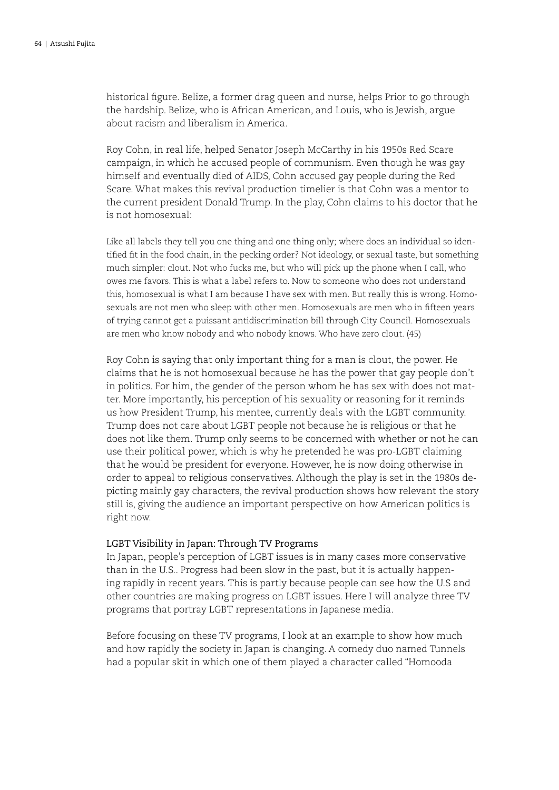historical figure. Belize, a former drag queen and nurse, helps Prior to go through the hardship. Belize, who is African American, and Louis, who is Jewish, argue about racism and liberalism in America.

Roy Cohn, in real life, helped Senator Joseph McCarthy in his 1950s Red Scare campaign, in which he accused people of communism. Even though he was gay himself and eventually died of AIDS, Cohn accused gay people during the Red Scare. What makes this revival production timelier is that Cohn was a mentor to the current president Donald Trump. In the play, Cohn claims to his doctor that he is not homosexual:

Like all labels they tell you one thing and one thing only; where does an individual so identified fit in the food chain, in the pecking order? Not ideology, or sexual taste, but something much simpler: clout. Not who fucks me, but who will pick up the phone when I call, who owes me favors. This is what a label refers to. Now to someone who does not understand this, homosexual is what I am because I have sex with men. But really this is wrong. Homosexuals are not men who sleep with other men. Homosexuals are men who in fifteen years of trying cannot get a puissant antidiscrimination bill through City Council. Homosexuals are men who know nobody and who nobody knows. Who have zero clout. (45)

Roy Cohn is saying that only important thing for a man is clout, the power. He claims that he is not homosexual because he has the power that gay people don't in politics. For him, the gender of the person whom he has sex with does not matter. More importantly, his perception of his sexuality or reasoning for it reminds us how President Trump, his mentee, currently deals with the LGBT community. Trump does not care about LGBT people not because he is religious or that he does not like them. Trump only seems to be concerned with whether or not he can use their political power, which is why he pretended he was pro-LGBT claiming that he would be president for everyone. However, he is now doing otherwise in order to appeal to religious conservatives. Although the play is set in the 1980s depicting mainly gay characters, the revival production shows how relevant the story still is, giving the audience an important perspective on how American politics is right now.

### LGBT Visibility in Japan: Through TV Programs

In Japan, people's perception of LGBT issues is in many cases more conservative than in the U.S.. Progress had been slow in the past, but it is actually happening rapidly in recent years. This is partly because people can see how the U.S and other countries are making progress on LGBT issues. Here I will analyze three TV programs that portray LGBT representations in Japanese media.

Before focusing on these TV programs, I look at an example to show how much and how rapidly the society in Japan is changing. A comedy duo named Tunnels had a popular skit in which one of them played a character called "Homooda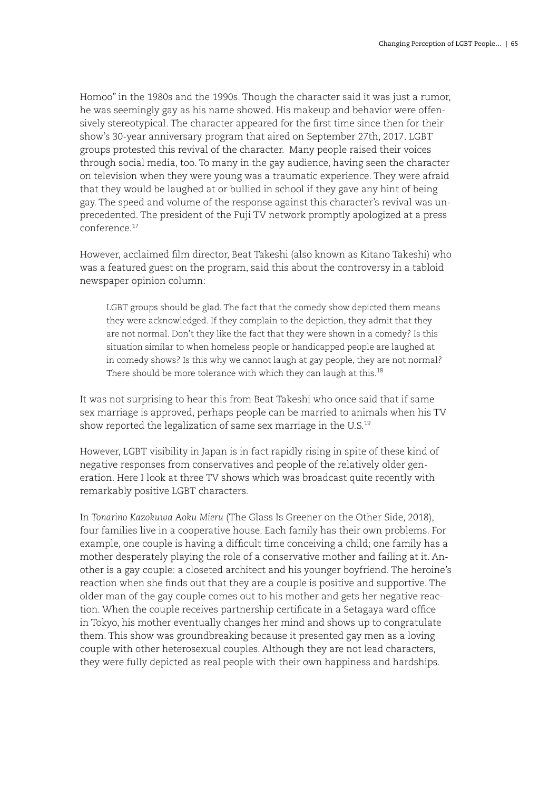Homoo" in the 1980s and the 1990s. Though the character said it was just a rumor, he was seemingly gay as his name showed. His makeup and behavior were offensively stereotypical. The character appeared for the first time since then for their show's 30-year anniversary program that aired on September 27th, 2017. LGBT groups protested this revival of the character. Many people raised their voices through social media, too. To many in the gay audience, having seen the character on television when they were young was a traumatic experience. They were afraid that they would be laughed at or bullied in school if they gave any hint of being gay. The speed and volume of the response against this character's revival was unprecedented. The president of the Fuji TV network promptly apologized at a press conference.17

However, acclaimed film director, Beat Takeshi (also known as Kitano Takeshi) who was a featured guest on the program, said this about the controversy in a tabloid newspaper opinion column:

LGBT groups should be glad. The fact that the comedy show depicted them means they were acknowledged. If they complain to the depiction, they admit that they are not normal. Don't they like the fact that they were shown in a comedy? Is this situation similar to when homeless people or handicapped people are laughed at in comedy shows? Is this why we cannot laugh at gay people, they are not normal? There should be more tolerance with which they can laugh at this. $^{18}$ 

It was not surprising to hear this from Beat Takeshi who once said that if same sex marriage is approved, perhaps people can be married to animals when his TV show reported the legalization of same sex marriage in the U.S.<sup>19</sup>

However, LGBT visibility in Japan is in fact rapidly rising in spite of these kind of negative responses from conservatives and people of the relatively older generation. Here I look at three TV shows which was broadcast quite recently with remarkably positive LGBT characters.

In *Tonarino Kazokuwa Aoku Mieru* (The Glass Is Greener on the Other Side, 2018), four families live in a cooperative house. Each family has their own problems. For example, one couple is having a difficult time conceiving a child; one family has a mother desperately playing the role of a conservative mother and failing at it. Another is a gay couple: a closeted architect and his younger boyfriend. The heroine's reaction when she finds out that they are a couple is positive and supportive. The older man of the gay couple comes out to his mother and gets her negative reaction. When the couple receives partnership certificate in a Setagaya ward office in Tokyo, his mother eventually changes her mind and shows up to congratulate them. This show was groundbreaking because it presented gay men as a loving couple with other heterosexual couples. Although they are not lead characters, they were fully depicted as real people with their own happiness and hardships.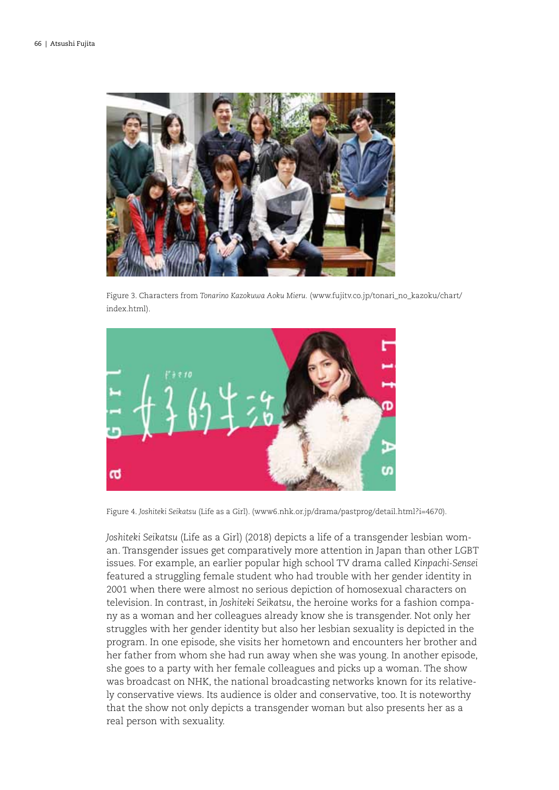

Figure 3. Characters from *Tonarino Kazokuwa Aoku Mieru.* (www.fujitv.co.jp/tonari\_no\_kazoku/chart/ index.html).



Figure 4. *Joshiteki Seikatsu* (Life as a Girl). (www6.nhk.or.jp/drama/pastprog/detail.html?i=4670).

*Joshiteki Seikatsu* (Life as a Girl) (2018) depicts a life of a transgender lesbian woman. Transgender issues get comparatively more attention in Japan than other LGBT issues. For example, an earlier popular high school TV drama called *Kinpachi-Sensei* featured a struggling female student who had trouble with her gender identity in 2001 when there were almost no serious depiction of homosexual characters on television. In contrast, in *Joshiteki Seikatsu*, the heroine works for a fashion company as a woman and her colleagues already know she is transgender. Not only her struggles with her gender identity but also her lesbian sexuality is depicted in the program. In one episode, she visits her hometown and encounters her brother and her father from whom she had run away when she was young. In another episode, she goes to a party with her female colleagues and picks up a woman. The show was broadcast on NHK, the national broadcasting networks known for its relatively conservative views. Its audience is older and conservative, too. It is noteworthy that the show not only depicts a transgender woman but also presents her as a real person with sexuality.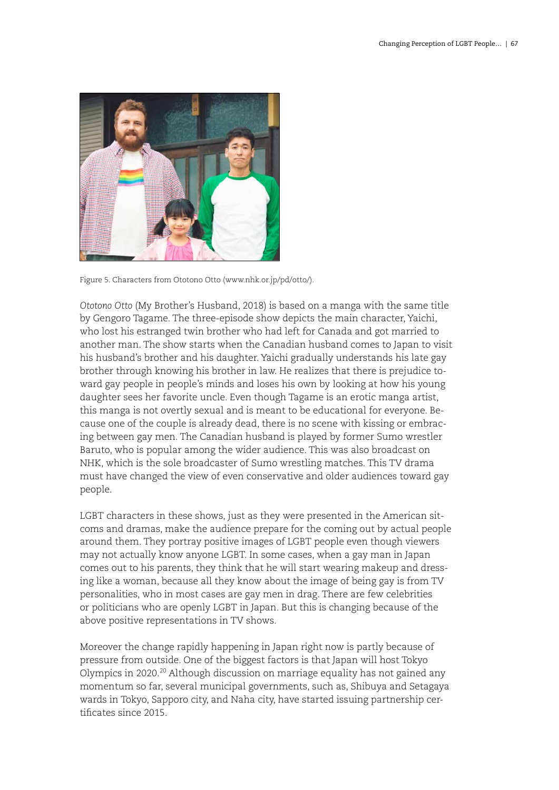

Figure 5. Characters from Ototono Otto (www.nhk.or.jp/pd/otto/).

*Ototono Otto* (My Brother's Husband, 2018) is based on a manga with the same title by Gengoro Tagame. The three-episode show depicts the main character, Yaichi, who lost his estranged twin brother who had left for Canada and got married to another man. The show starts when the Canadian husband comes to Japan to visit his husband's brother and his daughter. Yaichi gradually understands his late gay brother through knowing his brother in law. He realizes that there is prejudice toward gay people in people's minds and loses his own by looking at how his young daughter sees her favorite uncle. Even though Tagame is an erotic manga artist, this manga is not overtly sexual and is meant to be educational for everyone. Because one of the couple is already dead, there is no scene with kissing or embracing between gay men. The Canadian husband is played by former Sumo wrestler Baruto, who is popular among the wider audience. This was also broadcast on NHK, which is the sole broadcaster of Sumo wrestling matches. This TV drama must have changed the view of even conservative and older audiences toward gay people.

LGBT characters in these shows, just as they were presented in the American sitcoms and dramas, make the audience prepare for the coming out by actual people around them. They portray positive images of LGBT people even though viewers may not actually know anyone LGBT. In some cases, when a gay man in Japan comes out to his parents, they think that he will start wearing makeup and dressing like a woman, because all they know about the image of being gay is from TV personalities, who in most cases are gay men in drag. There are few celebrities or politicians who are openly LGBT in Japan. But this is changing because of the above positive representations in TV shows.

Moreover the change rapidly happening in Japan right now is partly because of pressure from outside. One of the biggest factors is that Japan will host Tokyo Olympics in 2020.<sup>20</sup> Although discussion on marriage equality has not gained any momentum so far, several municipal governments, such as, Shibuya and Setagaya wards in Tokyo, Sapporo city, and Naha city, have started issuing partnership certificates since 2015.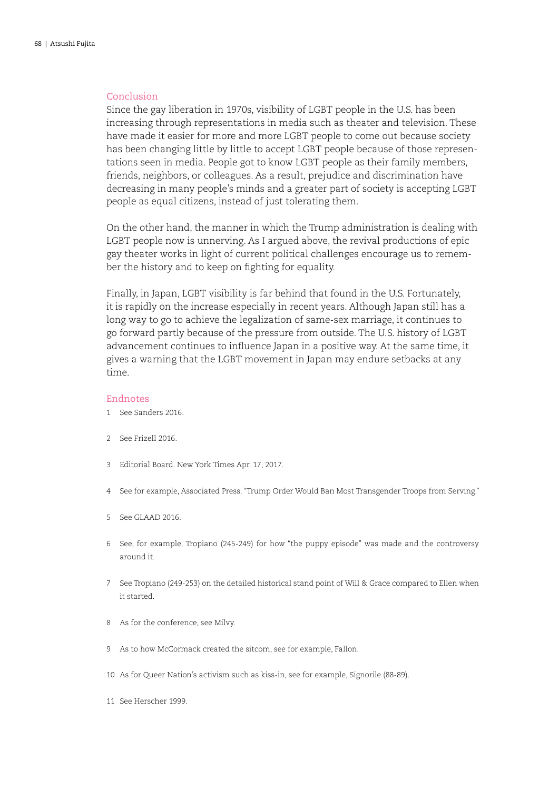### Conclusion

Since the gay liberation in 1970s, visibility of LGBT people in the U.S. has been increasing through representations in media such as theater and television. These have made it easier for more and more LGBT people to come out because society has been changing little by little to accept LGBT people because of those representations seen in media. People got to know LGBT people as their family members, friends, neighbors, or colleagues. As a result, prejudice and discrimination have decreasing in many people's minds and a greater part of society is accepting LGBT people as equal citizens, instead of just tolerating them.

On the other hand, the manner in which the Trump administration is dealing with LGBT people now is unnerving. As I argued above, the revival productions of epic gay theater works in light of current political challenges encourage us to remember the history and to keep on fighting for equality.

Finally, in Japan, LGBT visibility is far behind that found in the U.S. Fortunately, it is rapidly on the increase especially in recent years. Although Japan still has a long way to go to achieve the legalization of same-sex marriage, it continues to go forward partly because of the pressure from outside. The U.S. history of LGBT advancement continues to influence Japan in a positive way. At the same time, it gives a warning that the LGBT movement in Japan may endure setbacks at any time.

### Endnotes

- 1 See Sanders 2016.
- 2 See Frizell 2016.
- 3 Editorial Board. New York Times Apr. 17, 2017.
- 4 See for example, Associated Press. "Trump Order Would Ban Most Transgender Troops from Serving."
- 5 See GLAAD 2016.
- 6 See, for example, Tropiano (245-249) for how "the puppy episode" was made and the controversy around it.
- 7 See Tropiano (249-253) on the detailed historical stand point of Will & Grace compared to Ellen when it started.
- 8 As for the conference, see Milvy.
- 9 As to how McCormack created the sitcom, see for example, Fallon.
- 10 As for Queer Nation's activism such as kiss-in, see for example, Signorile (88-89).
- 11 See Herscher 1999.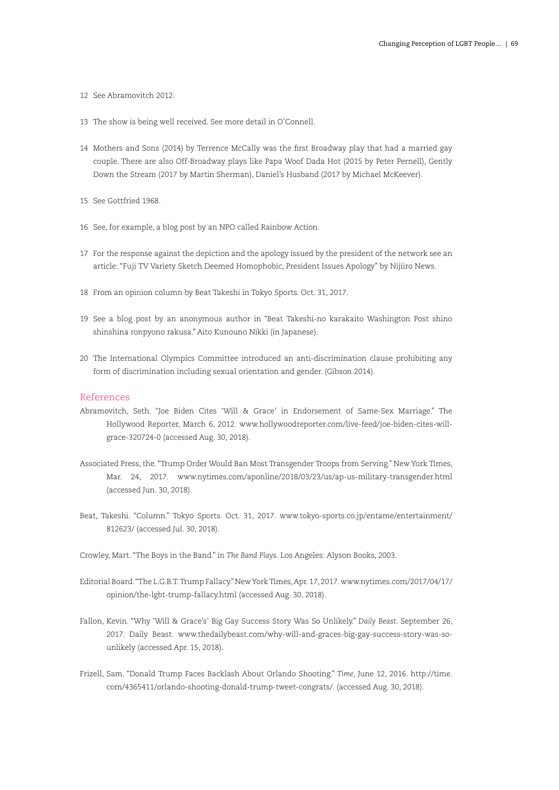- 12 See Abramovitch 2012.
- 13 The show is being well received. See more detail in O'Connell.
- 14 Mothers and Sons (2014) by Terrence McCally was the first Broadway play that had a married gay couple. There are also Off-Broadway plays like Papa Woof Dada Hot (2015 by Peter Pernell), Gently Down the Stream (2017 by Martin Sherman), Daniel's Husband (2017 by Michael McKeever).
- 15 See Gottfried 1968.
- 16 See, for example, a blog post by an NPO called Rainbow Action.
- 17 For the response against the depiction and the apology issued by the president of the network see an article: "Fuji TV Variety Sketch Deemed Homophobic, President Issues Apology" by Nijiiro News.
- 18 From an opinion column by Beat Takeshi in Tokyo Sports. Oct. 31, 2017.
- 19 See a blog post by an anonymous author in "Beat Takeshi-no karakaito Washington Post shino shinshina ronpyono rakusa." Aito Kunouno Nikki (in Japanese).
- 20 The International Olympics Committee introduced an anti-discrimination clause prohibiting any form of discrimination including sexual orientation and gender. (Gibson 2014).

### References

- Abramovitch, Seth. "Joe Biden Cites 'Will & Grace' in Endorsement of Same-Sex Marriage." The Hollywood Reporter, March 6, 2012. www.hollywoodreporter.com/live-feed/joe-biden-cites-willgrace-320724-0 (accessed Aug. 30, 2018).
- Associated Press, the. "Trump Order Would Ban Most Transgender Troops from Serving." New York Times, Mar. 24, 2017. www.nytimes.com/aponline/2018/03/23/us/ap-us-military-transgender.html (accessed Jun. 30, 2018).
- Beat, Takeshi. "Column." Tokyo Sports. Oct. 31, 2017. www.tokyo-sports.co.jp/entame/entertainment/ 812623/ (accessed Jul. 30, 2018).
- Crowley, Mart. "The Boys in the Band." in *The Band Plays.* Los Angeles: Alyson Books, 2003.
- Editorial Board. "The L.G.B.T. Trump Fallacy." New York Times, Apr. 17, 2017. www.nytimes.com/2017/04/17/ opinion/the-lgbt-trump-fallacy.html (accessed Aug. 30, 2018).
- Fallon, Kevin. "Why 'Will & Grace's' Big Gay Success Story Was So Unlikely." *Daily Beast*. September 26, 2017. Daily Beast. www.thedailybeast.com/why-will-and-graces-big-gay-success-story-was-sounlikely (accessed Apr. 15, 2018).
- Frizell, Sam. "Donald Trump Faces Backlash About Orlando Shooting." *Time*, June 12, 2016. http://time. com/4365411/orlando-shooting-donald-trump-tweet-congrats/. (accessed Aug. 30, 2018).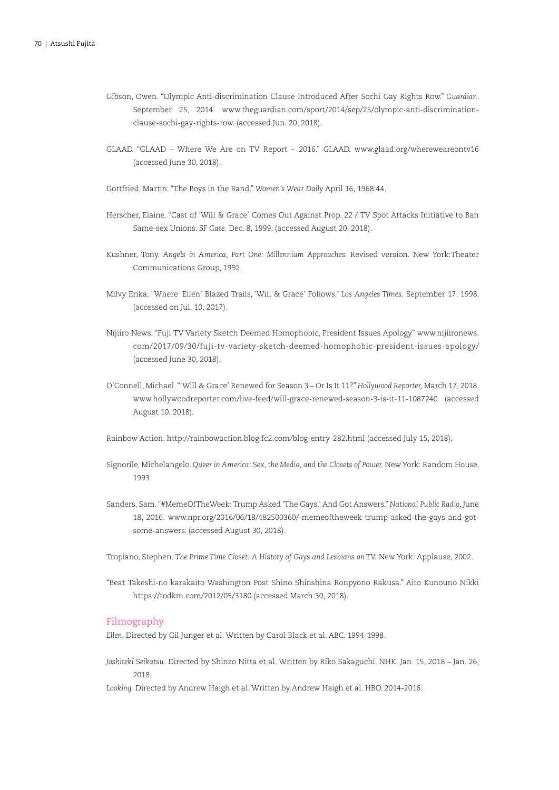- Gibson, Owen. "Olympic Anti-discrimination Clause Introduced After Sochi Gay Rights Row." *Guardian*. September 25, 2014. www.theguardian.com/sport/2014/sep/25/olympic-anti-discriminationclause-sochi-gay-rights-row. (accessed Jun. 20, 2018).
- GLAAD. "GLAAD Where We Are on TV Report 2016." GLAAD. www.glaad.org/whereweareontv16 (accessed June 30, 2018).
- Gottfried, Martin. "The Boys in the Band." *Women's Wear Daily* April 16, 1968:44.
- Herscher, Elaine. "Cast of 'Will & Grace' Comes Out Against Prop. 22 / TV Spot Attacks Initiative to Ban Same-sex Unions. *SF Gate.* Dec. 8, 1999. (accessed August 20, 2018).
- Kushner, Tony. *Angels in America, Part One: Millennium Approaches.* Revised version. New York:Theater Communications Group, 1992.
- Milvy Erika. "Where 'Ellen' Blazed Trails, 'Will & Grace' Follows." *Los Angeles Times.* September 17, 1998. (accessed on Jul. 10, 2017).
- Nijiiro News. "Fuji TV Variety Sketch Deemed Homophobic, President Issues Apology" www.nijiironews. com/2017/09/30/fuji-tv-variety-sketch-deemed-homophobic-president-issues-apology/ (accessed June 30, 2018).
- O'Connell, Michael. "'Will & Grace' Renewed for Season 3 Or Is It 11?" *Hollywood Reporter,* March 17, 2018. www.hollywoodreporter.com/live-feed/will-grace-renewed-season-3-is-it-11-1087240 (accessed August 10, 2018).
- Rainbow Action. http://rainbowaction.blog.fc2.com/blog-entry-282.html (accessed July 15, 2018).
- Signorile, Michelangelo. *Queer in America: Sex, the Media, and the Closets of Power.* New York: Random House, 1993.
- Sanders, Sam. "#MemeOfTheWeek: Trump Asked 'The Gays,' And Got Answers." *National Public Radio,* June 18, 2016. www.npr.org/2016/06/18/482500360/-memeoftheweek-trump-asked-the-gays-and-gotsome-answers. (accessed August 30, 2018).
- Tropiano, Stephen. *The Prime Time Closet: A History of Gays and Lesbians on TV.* New York: Applause, 2002.
- "Beat Takeshi-no karakaito Washington Post Shino Shinshina Ronpyono Rakusa." Aito Kunouno Nikki https://todkm.com/2012/05/3180 (accessed March 30, 2018).

### Filmography

*Ellen*. Directed by Gil Junger et al. Written by Carol Black et al. ABC. 1994-1998.

*Joshiteki Seikatsu.* Directed by Shinzo Nitta et al. Written by Riko Sakaguchi. NHK. Jan. 15, 2018 – Jan. 26, 2018.

*Looking.* Directed by Andrew Haigh et al. Written by Andrew Haigh et al. HBO. 2014-2016.